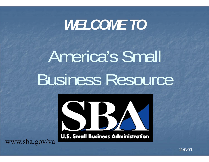# *WELCOME TO*

America's Small Business Resource



**U.S. Small Business Administration** 

www.sba.gov/va

11/9/09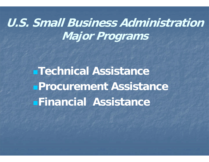### **U.S. Small Business AdministrationMajor Programs**

**Technical Assistance Procurement AssistanceFinancial Assistance**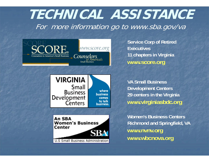### **TECHNICAL ASSISTANCE**For more information go to www.sba.gov/va



**Service Corp of Retired Executives11 chapters in Virginia www.score.org**

**VIRGINIA** Small where **Business business** Development comes to talk **Centers** business.

**An SBA Women's Business** Center U.S Small Business Administration

**VA Small Business Development Centers 29 centers in the Virginia www.virginiasbdc.org**

**Women's Business Centers Richmond and Springfield, VA www.nvnv.org www.wbcnova.org**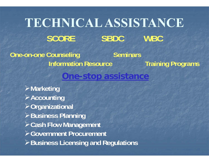## **TECHNICAL ASSISTANCE** SCORE SBDC WBC

**One-on-one Counseling Seminars Information Resource Training Programs** 

### **One-stop assistance**

**Marketing Accounting Organizational Business Planning Cash Flow Management Government Procurement Business Licensing and Requlations**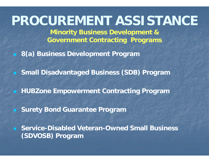### **PROCUREMENT ASSISTANCE**

**Minority Business Development & Government Contracting Programs**

**8(a) Business Development Program**

**Small Disadvantaged Business (SDB) Program**

**HUBZone Empowerment Contracting Program**

**Surety Bond Guarantee Program**

 **Service-Disabled Veteran-Owned Small Business (SDVOSB) Program**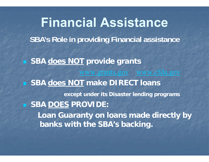■ SBA **does NOT** provide grants www.grants.gov www.cfda.gov **SBA does NOT make DIRECT loans except under its Disaster lending programs SBA DOES PROVIDE: Loan Guaranty on loans made directly by banks with the SBA's backing. Financial AssistanceSBA's Role in providing Financial assistance**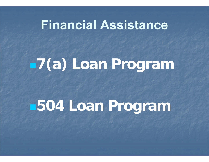### **Financial Assistance**

# **7(a) Loan Program**

# **504 Loan Program**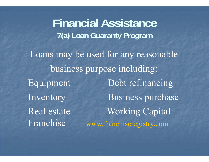Loans may be used for any reasonable business purpose including: Equipment Debt refinancing Inventory Business purchase Real estate Working Capital Franchise www.franchiseregistry.com **Financial Assistance 7(a) Loan Guaranty Program**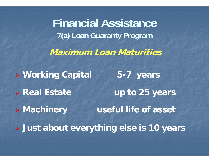**Maximum Loan Maturities Working Capital 5-7 years > Real Estate up to 25 years > Machinery useful life of asset Just about everything else is 10 years Financial Assistance 7(a) Loan Guaranty Program**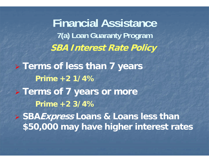**SBA Interest Rate Policy Terms of less than 7 years Prime +2 1/4% Terms of 7 years or more Prime +2 3/4% SBAExpress Loans & Loans less than \$50,000 may have higher interest rates Financial Assistance 7(a) Loan Guaranty Program**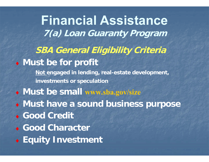**SBA General Eligibility Criteria Must be for profit Not engaged in lending, real-estate development, investments or speculation Must be small www.sba.gov/size Must have a sound business purpose Good Credit Good Character Equity Investment Financial Assistance 7(a) Loan Guaranty Program**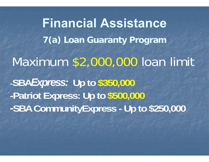**Financial Assistance 7(a) Loan Guaranty Program** Maximum \$2,000,000 loan limit **-SBA***Express:* **Up to \$350,000 -Patriot Express: Up to \$500,000** *-***SBA CommunityExpress - Up to \$250,000**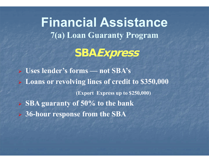**SBAExpress Financial Assistance 7(a) Loan Guaranty Program**

 **Uses lender's forms — not SBA's Loans or revolving lines of credit to \$350,000 (Export Express up to \$250,000) SBA guaranty of 50% to the bank 36-hour response from the SBA**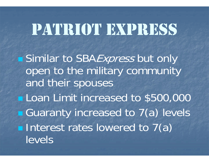# PATRIOT EXPRESS

■ Similar to SBA*Express* but only open to the military community and their spouses **Loan Limit increased to \$500,000 Guaranty increased to 7(a) levels Interest rates lowered to 7(a)** levels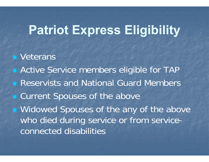### **Patriot Express Eligibility**

**veterans • Active Service members eligible for TAP Reservists and National Guard Members Example 20 Current Spouses of the above Nidowed Spouses of the any of the above** who died during service or from serviceconnected disabilities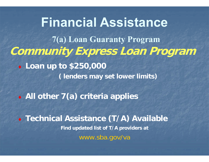**Community Express Loan Program Loan up to \$250,000 ( lenders may set lower limits) Financial Assistance 7(a) Loan Guaranty Program**

**All other 7(a) criteria applies**

 **Technical Assistance (T/A) Available Find updated list of T/A providers at** www.sba.gov/va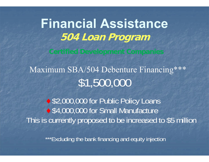**Financial Assistance 504 Loan Program**

\$1,500,000 Maximum SBA/504 Debenture Financing\*\*\*

◆ \$2,000,000 for Public Policy Loans ◆ \$4,000,000 for Small Manufacture This is currently proposed to be increased to \$5 million

\*\*\*Excluding the bank financing and equity injection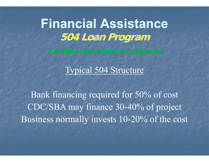**Financial Assistance504 Loan Program**

Typical 504 Structure

Bank financing required for 50% of cost CDC/SBA may finance 30-40% of project Business normally invests 10-20% of the cost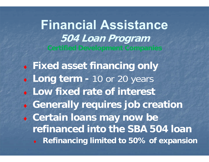**Financial Assistance 504 Loan Program**

♦ **Fixed asset financing only** ♦ **Long term -** 10 or 20 years **Low fixed rate of interest** ♦ **Generally requires job creation** ♦ **Certain loans may now be refinanced into the SBA 504 loan** ♦ **Refinancing limited to 50% of expansion**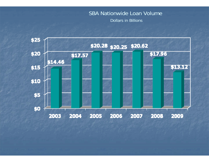### SBA Nationwide Loan Volume

Dollars in Billions

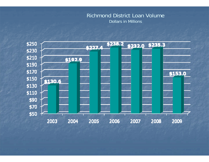#### Richmond District Loan Volume Dollars in Millions

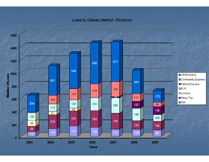#### Loans by Delivery Method - Richmond

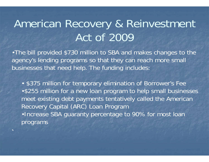## American Recovery & Reinvestment Act of 2009

•The bill provided \$730 million to SBA and makes changes to the agency's lending programs so that they can reach more small businesses that need help. The funding includes:

• \$375 million for temporary elimination of Borrower's Fee •\$255 million for a new loan program to help small businesses meet existing debt payments tentatively called the American Recovery Capital (ARC) Loan Program •Increase SBA guaranty percentage to 90% for most loan programs

7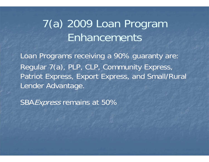## 7(a) 2009 Loan Program Enhancements

Loan Programs receiving a 90% guaranty are: Regular 7(a), PLP, CLP, Community Express, Patriot Express, Export Express, and Small/Rural Lender Advantage.

SBA*Express* remains at 50%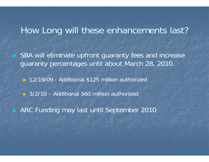### How Long will these enhancements last?

 SBA will eliminate upfront guaranty fees and increase guaranty percentages until about March 28, 2010.

**12/19/09 - Additional \$125 million authorized** 

3/2/10 – Additional \$60 million authorized

ARC Funding may last until September 2010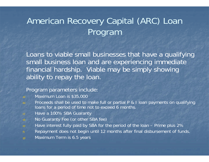### American Recovery Capital (ARC) Loan Program

Loans to viable small businesses that have a qualifying small business loan and are experiencing immediate financial hardship. Viable may be simply showing ability to repay the loan.

#### Program parameters include:

- a) Maximum Loan is \$35,000
- b) Proceeds shall be used to make full or partial P & I loan payments on qualifying loans for a period of time not to exceed 6 months.
- c) Have a 100% SBA Guaranty
- d) No Guaranty Fee (or other SBA fee)
- e) Have interest fully paid by SBA for the period of the loan Prime plus 2%
- f) Repayment does not begin until 12 months after final disbursement of funds.
- g) Maximum Term is 6.5 years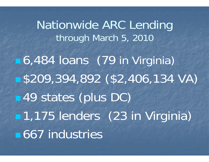Nationwide ARC Lending through March 5, 2010 6,484 loans (79 in Virginia) \$209,394,892 (\$2,406,134 VA) ■49 states (plus DC) 1,175 lenders (23 in Virginia) ■667 industries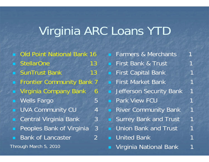## Virginia ARC Loans YTD

- Old Point National Bank 16
- StellarOne 13
- SunTrust Bank 13
- Frontier Community Bank 7
- Virginia Company Bank 6
- Wells Fargo 5
- UVA Community CU 4
- n Central Virginia Bank 3
- п Peoples Bank of Virginia 3
- Bank of Lancaster 2

Through March 5, 2010

| Farmers & Merchants                 |                |
|-------------------------------------|----------------|
| First Bank & Trust                  | 1              |
| <b>First Capital Bank</b>           | 1              |
| <b>First Market Bank</b>            | 4              |
| <b>Jefferson Security Bank</b>      | $\overline{1}$ |
| <b>Park View FCU</b>                | $\mathbf{1}$   |
| <b>River Community Bank</b>         | $\mathbf{1}$   |
| <b>Surrey Bank and Trust</b>        | $\mathbf 1$    |
| <b>Union Bank and Trust</b><br>a Co | $\mathbf 1$    |
| <b>United Bank</b>                  | 1              |
| Virginia National Bank              |                |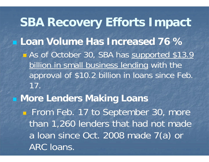**SBA Recovery Efforts Impact Loan Volume Has Increased 76 %** As of October 30, SBA has supported \$13.9 billion in small business lending with the approval of \$10.2 billion in loans since Feb. 17. **More Lenders Making Loans From Feb. 17 to September 30, more** than 1,260 lenders that had not made a loan since Oct. 2008 made 7(a) or ARC loans.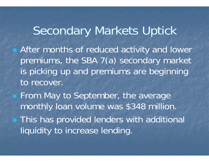Secondary Markets Uptick **After months of reduced activity and lower** premiums, the SBA 7(a) secondary market is picking up and premiums are beginning to recover. **From May to September, the average** monthly loan volume was \$348 million. **This has provided lenders with additional** liquidity to increase lending.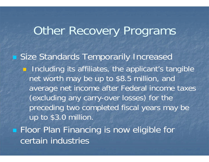### **Other Recovery Programs**

 Size Standards Temporarily Increased **n** Including its affiliates, the applicant's tangible net worth may be up to \$8.5 million, and average net income after Federal income taxes (excluding any carry-over losses) for the preceding two completed fiscal years may be up to \$3.0 million. **Floor Plan Financing is now eligible for** certain industries